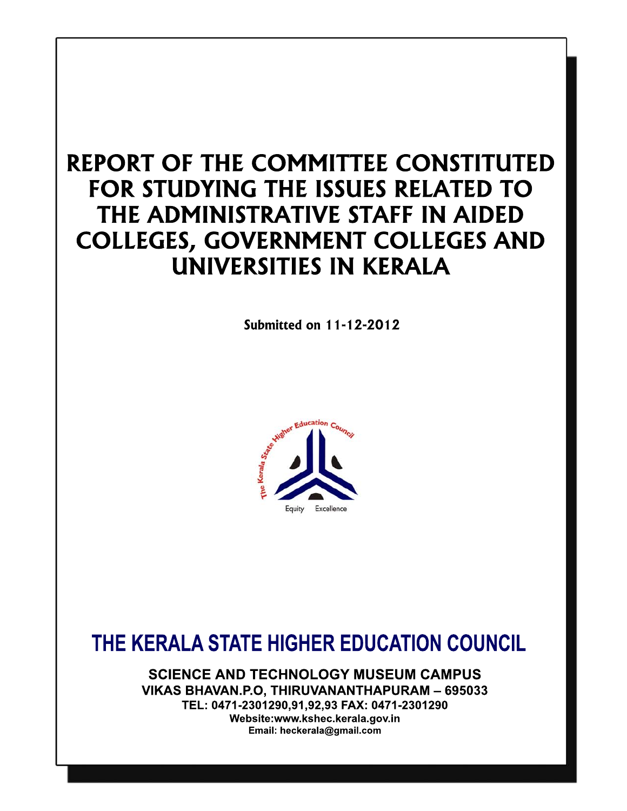# REPORT OF THE COMMITTEE CONSTITUTED FOR STUDYING THE ISSUES RELATED TO THE ADMINISTRATIVE STAFF IN AIDED **COLLEGES, GOVERNMENT COLLEGES AND** UNIVERSITIES IN KERALA

**Submitted on 11-12-2012** 



# THE KERALA STATE HIGHER EDUCATION COUNCIL

**SCIENCE AND TECHNOLOGY MUSEUM CAMPUS** VIKAS BHAVAN.P.O. THIRUVANANTHAPURAM - 695033 TEL: 0471-2301290,91,92,93 FAX: 0471-2301290 Website:www.kshec.kerala.gov.in Email: heckerala@gmail.com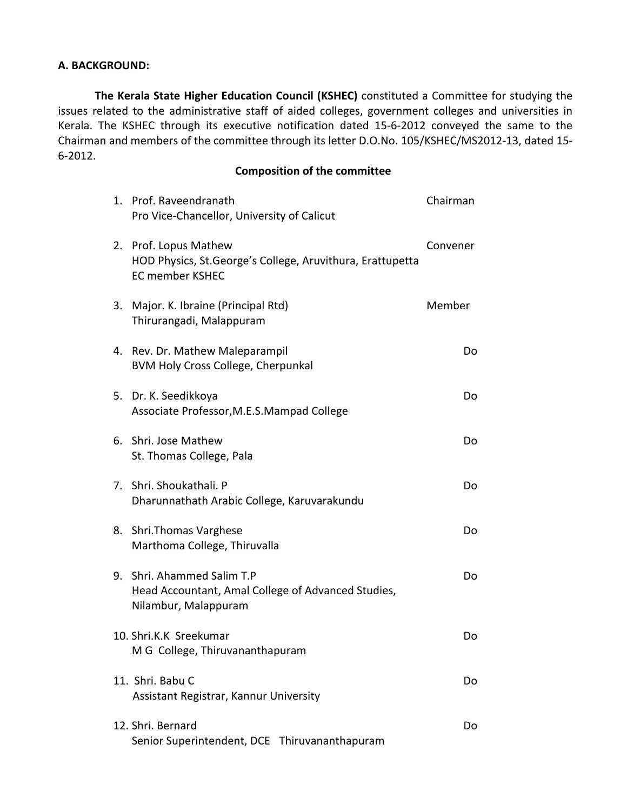#### **A. BACKGROUND:**

**The Kerala State Higher Education Council (KSHEC)** constituted a Committee for studying the issues related to the administrative staff of aided colleges, government colleges and universities in Kerala. The KSHEC through its executive notification dated 15‐6‐2012 conveyed the same to the Chairman and members of the committee through its letter D.O.No. 105/KSHEC/MS2012‐13, dated 15‐ 6‐2012.

# **Composition of the committee**

|    | 1. Prof. Raveendranath<br>Pro Vice-Chancellor, University of Calicut                                          | Chairman |
|----|---------------------------------------------------------------------------------------------------------------|----------|
|    | 2. Prof. Lopus Mathew<br>HOD Physics, St. George's College, Aruvithura, Erattupetta<br><b>EC member KSHEC</b> | Convener |
|    | 3. Major. K. Ibraine (Principal Rtd)<br>Thirurangadi, Malappuram                                              | Member   |
|    | 4. Rev. Dr. Mathew Maleparampil<br>BVM Holy Cross College, Cherpunkal                                         | Do       |
|    | 5. Dr. K. Seedikkoya<br>Associate Professor, M.E.S. Mampad College                                            | Do       |
|    | 6. Shri. Jose Mathew<br>St. Thomas College, Pala                                                              | Do       |
|    | 7. Shri. Shoukathali. P<br>Dharunnathath Arabic College, Karuvarakundu                                        | Do       |
| 8. | Shri.Thomas Varghese<br>Marthoma College, Thiruvalla                                                          | Do       |
|    | 9. Shri. Ahammed Salim T.P<br>Head Accountant, Amal College of Advanced Studies,<br>Nilambur, Malappuram      | Do       |
|    | 10. Shri.K.K Sreekumar<br>M G College, Thiruvananthapuram                                                     | Do       |
|    | 11. Shri. Babu C<br>Assistant Registrar, Kannur University                                                    | Do       |
|    | 12. Shri. Bernard<br>Senior Superintendent, DCE Thiruvananthapuram                                            | Do       |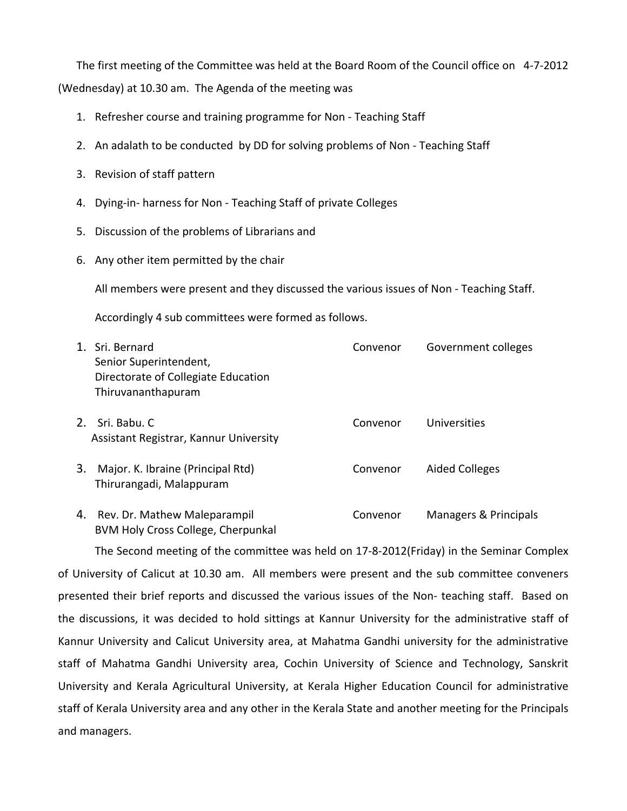The first meeting of the Committee was held at the Board Room of the Council office on 4‐7‐2012 (Wednesday) at 10.30 am. The Agenda of the meeting was

- 1. Refresher course and training programme for Non ‐ Teaching Staff
- 2. An adalath to be conducted by DD for solving problems of Non ‐ Teaching Staff
- 3. Revision of staff pattern
- 4. Dying‐in‐ harness for Non ‐ Teaching Staff of private Colleges
- 5. Discussion of the problems of Librarians and
- 6. Any other item permitted by the chair

All members were present and they discussed the various issues of Non ‐ Teaching Staff.

Accordingly 4 sub committees were formed as follows.

| 1. Sri. Bernard<br>Senior Superintendent,<br>Directorate of Collegiate Education<br>Thiruvananthapuram | Convenor | Government colleges   |
|--------------------------------------------------------------------------------------------------------|----------|-----------------------|
| 2. Sri. Babu. C<br>Assistant Registrar, Kannur University                                              | Convenor | Universities          |
| Major. K. Ibraine (Principal Rtd)<br>3.<br>Thirurangadi, Malappuram                                    | Convenor | <b>Aided Colleges</b> |
| Rev. Dr. Mathew Maleparampil<br>4.                                                                     | Convenor | Managers & Principals |

4. Rev. Dr. Mathew Maleparampil Convenor Managers & Principals BVM Holy Cross College, Cherpunkal

The Second meeting of the committee was held on 17‐8‐2012(Friday) in the Seminar Complex of University of Calicut at 10.30 am. All members were present and the sub committee conveners presented their brief reports and discussed the various issues of the Non‐ teaching staff. Based on the discussions, it was decided to hold sittings at Kannur University for the administrative staff of Kannur University and Calicut University area, at Mahatma Gandhi university for the administrative staff of Mahatma Gandhi University area, Cochin University of Science and Technology, Sanskrit University and Kerala Agricultural University, at Kerala Higher Education Council for administrative staff of Kerala University area and any other in the Kerala State and another meeting for the Principals and managers.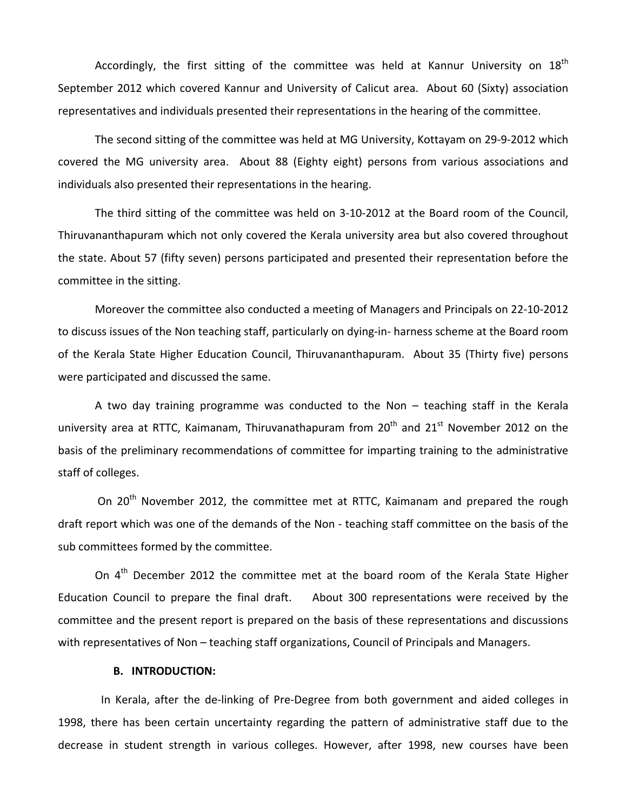Accordingly, the first sitting of the committee was held at Kannur University on  $18<sup>th</sup>$ September 2012 which covered Kannur and University of Calicut area. About 60 (Sixty) association representatives and individuals presented their representations in the hearing of the committee.

The second sitting of the committee was held at MG University, Kottayam on 29‐9‐2012 which covered the MG university area. About 88 (Eighty eight) persons from various associations and individuals also presented their representations in the hearing.

The third sitting of the committee was held on 3‐10‐2012 at the Board room of the Council, Thiruvananthapuram which not only covered the Kerala university area but also covered throughout the state. About 57 (fifty seven) persons participated and presented their representation before the committee in the sitting.

Moreover the committee also conducted a meeting of Managers and Principals on 22‐10‐2012 to discuss issues of the Non teaching staff, particularly on dying‐in‐ harness scheme at the Board room of the Kerala State Higher Education Council, Thiruvananthapuram. About 35 (Thirty five) persons were participated and discussed the same.

A two day training programme was conducted to the Non – teaching staff in the Kerala university area at RTTC, Kaimanam, Thiruvanathapuram from  $20^{th}$  and  $21^{st}$  November 2012 on the basis of the preliminary recommendations of committee for imparting training to the administrative staff of colleges.

On 20<sup>th</sup> November 2012, the committee met at RTTC, Kaimanam and prepared the rough draft report which was one of the demands of the Non ‐ teaching staff committee on the basis of the sub committees formed by the committee.

On  $4<sup>th</sup>$  December 2012 the committee met at the board room of the Kerala State Higher Education Council to prepare the final draft. About 300 representations were received by the committee and the present report is prepared on the basis of these representations and discussions with representatives of Non – teaching staff organizations, Council of Principals and Managers.

#### **B. INTRODUCTION:**

In Kerala, after the de‐linking of Pre‐Degree from both government and aided colleges in 1998, there has been certain uncertainty regarding the pattern of administrative staff due to the decrease in student strength in various colleges. However, after 1998, new courses have been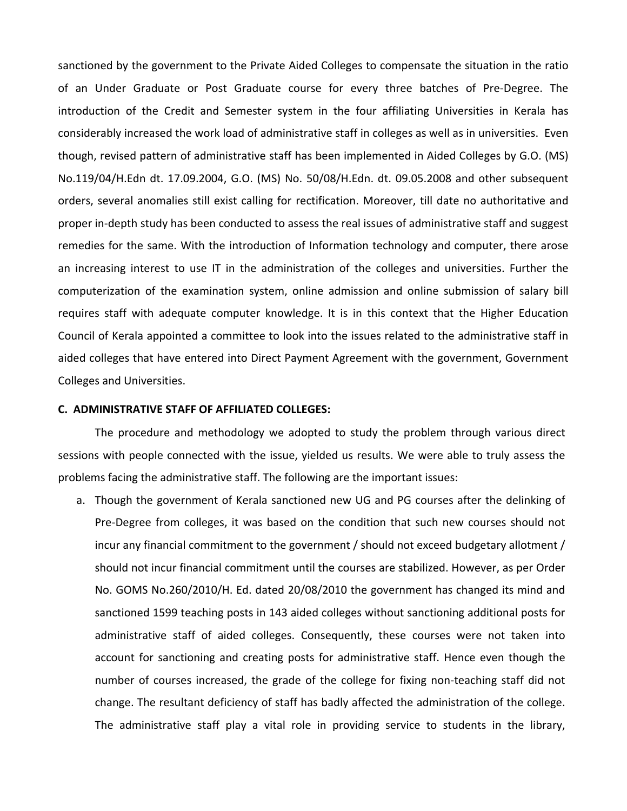sanctioned by the government to the Private Aided Colleges to compensate the situation in the ratio of an Under Graduate or Post Graduate course for every three batches of Pre‐Degree. The introduction of the Credit and Semester system in the four affiliating Universities in Kerala has considerably increased the work load of administrative staff in colleges as well as in universities. Even though, revised pattern of administrative staff has been implemented in Aided Colleges by G.O. (MS) No.119/04/H.Edn dt. 17.09.2004, G.O. (MS) No. 50/08/H.Edn. dt. 09.05.2008 and other subsequent orders, several anomalies still exist calling for rectification. Moreover, till date no authoritative and proper in‐depth study has been conducted to assess the real issues of administrative staff and suggest remedies for the same. With the introduction of Information technology and computer, there arose an increasing interest to use IT in the administration of the colleges and universities. Further the computerization of the examination system, online admission and online submission of salary bill requires staff with adequate computer knowledge. It is in this context that the Higher Education Council of Kerala appointed a committee to look into the issues related to the administrative staff in aided colleges that have entered into Direct Payment Agreement with the government, Government Colleges and Universities.

#### **C. ADMINISTRATIVE STAFF OF AFFILIATED COLLEGES:**

The procedure and methodology we adopted to study the problem through various direct sessions with people connected with the issue, yielded us results. We were able to truly assess the problems facing the administrative staff. The following are the important issues:

a. Though the government of Kerala sanctioned new UG and PG courses after the delinking of Pre-Degree from colleges, it was based on the condition that such new courses should not incur any financial commitment to the government / should not exceed budgetary allotment / should not incur financial commitment until the courses are stabilized. However, as per Order No. GOMS No.260/2010/H. Ed. dated 20/08/2010 the government has changed its mind and sanctioned 1599 teaching posts in 143 aided colleges without sanctioning additional posts for administrative staff of aided colleges. Consequently, these courses were not taken into account for sanctioning and creating posts for administrative staff. Hence even though the number of courses increased, the grade of the college for fixing non-teaching staff did not change. The resultant deficiency of staff has badly affected the administration of the college. The administrative staff play a vital role in providing service to students in the library,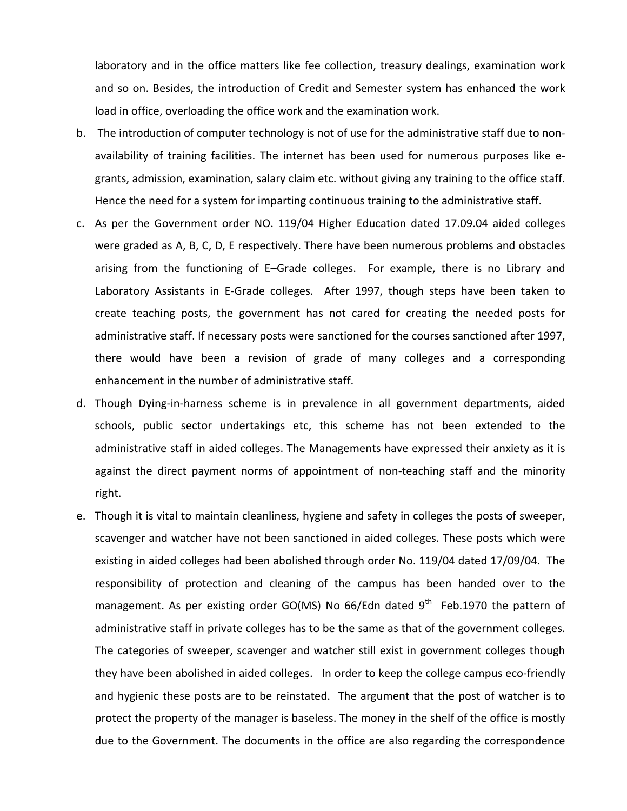laboratory and in the office matters like fee collection, treasury dealings, examination work and so on. Besides, the introduction of Credit and Semester system has enhanced the work load in office, overloading the office work and the examination work.

- b. The introduction of computer technology is not of use for the administrative staff due to non‐ availability of training facilities. The internet has been used for numerous purposes like e‐ grants, admission, examination, salary claim etc. without giving any training to the office staff. Hence the need for a system for imparting continuous training to the administrative staff.
- c. As per the Government order NO. 119/04 Higher Education dated 17.09.04 aided colleges were graded as A, B, C, D, E respectively. There have been numerous problems and obstacles arising from the functioning of E–Grade colleges. For example, there is no Library and Laboratory Assistants in E-Grade colleges. After 1997, though steps have been taken to create teaching posts, the government has not cared for creating the needed posts for administrative staff. If necessary posts were sanctioned for the courses sanctioned after 1997, there would have been a revision of grade of many colleges and a corresponding enhancement in the number of administrative staff.
- d. Though Dying‐in‐harness scheme is in prevalence in all government departments, aided schools, public sector undertakings etc, this scheme has not been extended to the administrative staff in aided colleges. The Managements have expressed their anxiety as it is against the direct payment norms of appointment of non-teaching staff and the minority right.
- e. Though it is vital to maintain cleanliness, hygiene and safety in colleges the posts of sweeper, scavenger and watcher have not been sanctioned in aided colleges. These posts which were existing in aided colleges had been abolished through order No. 119/04 dated 17/09/04. The responsibility of protection and cleaning of the campus has been handed over to the management. As per existing order GO(MS) No 66/Edn dated  $9<sup>th</sup>$  Feb.1970 the pattern of administrative staff in private colleges has to be the same as that of the government colleges. The categories of sweeper, scavenger and watcher still exist in government colleges though they have been abolished in aided colleges. In order to keep the college campus eco‐friendly and hygienic these posts are to be reinstated. The argument that the post of watcher is to protect the property of the manager is baseless. The money in the shelf of the office is mostly due to the Government. The documents in the office are also regarding the correspondence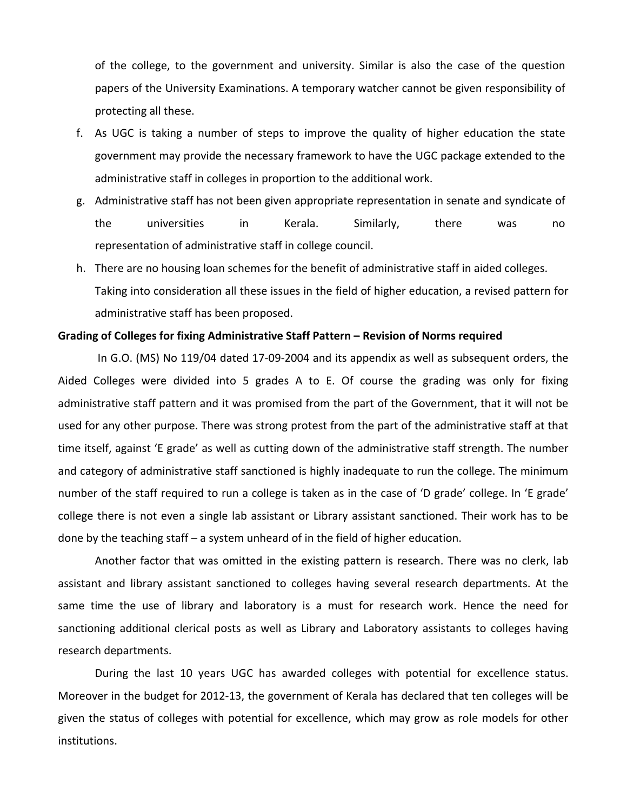of the college, to the government and university. Similar is also the case of the question papers of the University Examinations. A temporary watcher cannot be given responsibility of protecting all these.

- f. As UGC is taking a number of steps to improve the quality of higher education the state government may provide the necessary framework to have the UGC package extended to the administrative staff in colleges in proportion to the additional work.
- g. Administrative staff has not been given appropriate representation in senate and syndicate of the universities in Kerala. Similarly, there was no representation of administrative staff in college council.
- h. There are no housing loan schemes for the benefit of administrative staff in aided colleges. Taking into consideration all these issues in the field of higher education, a revised pattern for administrative staff has been proposed.

#### **Grading of Colleges for fixing Administrative Staff Pattern – Revision of Norms required**

 In G.O. (MS) No 119/04 dated 17‐09‐2004 and its appendix as well as subsequent orders, the Aided Colleges were divided into 5 grades A to E. Of course the grading was only for fixing administrative staff pattern and it was promised from the part of the Government, that it will not be used for any other purpose. There was strong protest from the part of the administrative staff at that time itself, against 'E grade' as well as cutting down of the administrative staff strength. The number and category of administrative staff sanctioned is highly inadequate to run the college. The minimum number of the staff required to run a college is taken as in the case of 'D grade' college. In 'E grade' college there is not even a single lab assistant or Library assistant sanctioned. Their work has to be done by the teaching staff – a system unheard of in the field of higher education.

Another factor that was omitted in the existing pattern is research. There was no clerk, lab assistant and library assistant sanctioned to colleges having several research departments. At the same time the use of library and laboratory is a must for research work. Hence the need for sanctioning additional clerical posts as well as Library and Laboratory assistants to colleges having research departments.

During the last 10 years UGC has awarded colleges with potential for excellence status. Moreover in the budget for 2012‐13, the government of Kerala has declared that ten colleges will be given the status of colleges with potential for excellence, which may grow as role models for other institutions.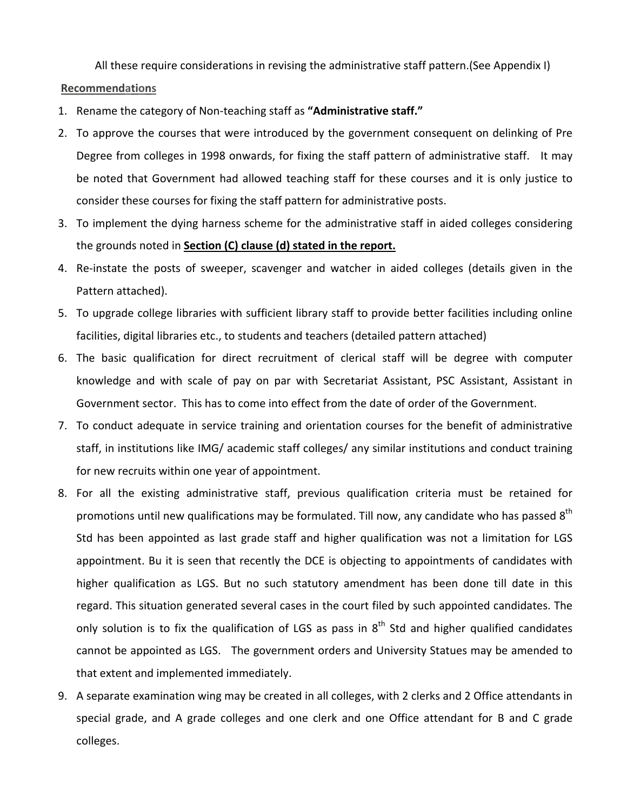All these require considerations in revising the administrative staff pattern.(See Appendix I)

### **Recommendations**

- 1. Rename the category of Non‐teaching staff as **"Administrative staff."**
- 2. To approve the courses that were introduced by the government consequent on delinking of Pre Degree from colleges in 1998 onwards, for fixing the staff pattern of administrative staff. It may be noted that Government had allowed teaching staff for these courses and it is only justice to consider these courses for fixing the staff pattern for administrative posts.
- 3. To implement the dying harness scheme for the administrative staff in aided colleges considering the grounds noted in **Section (C) clause (d) stated in the report.**
- 4. Re-instate the posts of sweeper, scavenger and watcher in aided colleges (details given in the Pattern attached).
- 5. To upgrade college libraries with sufficient library staff to provide better facilities including online facilities, digital libraries etc., to students and teachers (detailed pattern attached)
- 6. The basic qualification for direct recruitment of clerical staff will be degree with computer knowledge and with scale of pay on par with Secretariat Assistant, PSC Assistant, Assistant in Government sector. This has to come into effect from the date of order of the Government.
- 7. To conduct adequate in service training and orientation courses for the benefit of administrative staff, in institutions like IMG/ academic staff colleges/ any similar institutions and conduct training for new recruits within one year of appointment.
- 8. For all the existing administrative staff, previous qualification criteria must be retained for promotions until new qualifications may be formulated. Till now, any candidate who has passed 8<sup>th</sup> Std has been appointed as last grade staff and higher qualification was not a limitation for LGS appointment. Bu it is seen that recently the DCE is objecting to appointments of candidates with higher qualification as LGS. But no such statutory amendment has been done till date in this regard. This situation generated several cases in the court filed by such appointed candidates. The only solution is to fix the qualification of LGS as pass in  $8<sup>th</sup>$  Std and higher qualified candidates cannot be appointed as LGS. The government orders and University Statues may be amended to that extent and implemented immediately.
- 9. A separate examination wing may be created in all colleges, with 2 clerks and 2 Office attendants in special grade, and A grade colleges and one clerk and one Office attendant for B and C grade colleges.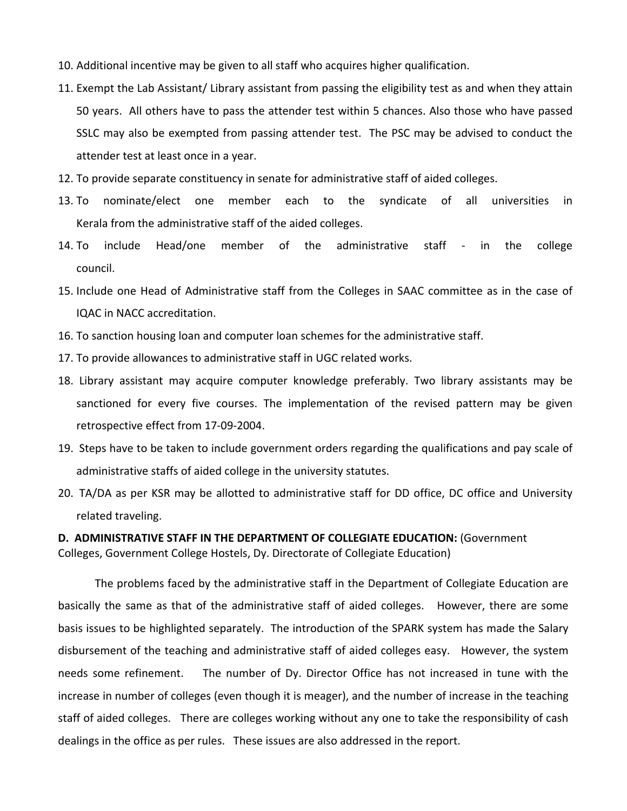- 10. Additional incentive may be given to all staff who acquires higher qualification.
- 11. Exempt the Lab Assistant/ Library assistant from passing the eligibility test as and when they attain 50 years. All others have to pass the attender test within 5 chances. Also those who have passed SSLC may also be exempted from passing attender test. The PSC may be advised to conduct the attender test at least once in a year.
- 12. To provide separate constituency in senate for administrative staff of aided colleges.
- 13. To nominate/elect one member each to the syndicate of all universities in Kerala from the administrative staff of the aided colleges.
- 14. To include Head/one member of the administrative staff ‐ in the college council.
- 15. Include one Head of Administrative staff from the Colleges in SAAC committee as in the case of IQAC in NACC accreditation.
- 16. To sanction housing loan and computer loan schemes for the administrative staff.
- 17. To provide allowances to administrative staff in UGC related works.
- 18. Library assistant may acquire computer knowledge preferably. Two library assistants may be sanctioned for every five courses. The implementation of the revised pattern may be given retrospective effect from 17‐09‐2004.
- 19. Steps have to be taken to include government orders regarding the qualifications and pay scale of administrative staffs of aided college in the university statutes.
- 20. TA/DA as per KSR may be allotted to administrative staff for DD office, DC office and University related traveling.

## **D. ADMINISTRATIVE STAFF IN THE DEPARTMENT OF COLLEGIATE EDUCATION:** (Government Colleges, Government College Hostels, Dy. Directorate of Collegiate Education)

The problems faced by the administrative staff in the Department of Collegiate Education are basically the same as that of the administrative staff of aided colleges. However, there are some basis issues to be highlighted separately. The introduction of the SPARK system has made the Salary disbursement of the teaching and administrative staff of aided colleges easy. However, the system needs some refinement. The number of Dy. Director Office has not increased in tune with the increase in number of colleges (even though it is meager), and the number of increase in the teaching staff of aided colleges. There are colleges working without any one to take the responsibility of cash dealings in the office as per rules. These issues are also addressed in the report.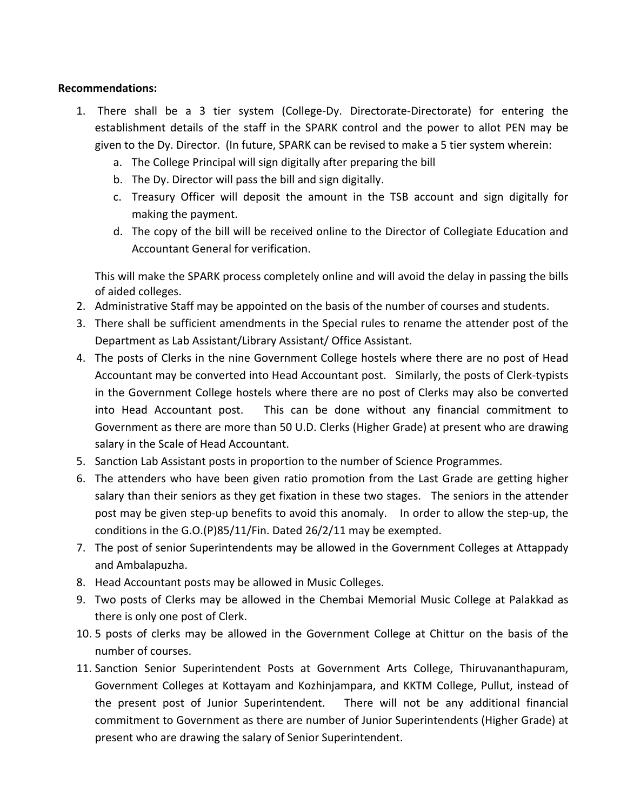## **Recommendations:**

- 1. There shall be a 3 tier system (College‐Dy. Directorate‐Directorate) for entering the establishment details of the staff in the SPARK control and the power to allot PEN may be given to the Dy. Director. (In future, SPARK can be revised to make a 5 tier system wherein:
	- a. The College Principal will sign digitally after preparing the bill
	- b. The Dy. Director will pass the bill and sign digitally.
	- c. Treasury Officer will deposit the amount in the TSB account and sign digitally for making the payment.
	- d. The copy of the bill will be received online to the Director of Collegiate Education and Accountant General for verification.

This will make the SPARK process completely online and will avoid the delay in passing the bills of aided colleges.

- 2. Administrative Staff may be appointed on the basis of the number of courses and students.
- 3. There shall be sufficient amendments in the Special rules to rename the attender post of the Department as Lab Assistant/Library Assistant/ Office Assistant.
- 4. The posts of Clerks in the nine Government College hostels where there are no post of Head Accountant may be converted into Head Accountant post. Similarly, the posts of Clerk‐typists in the Government College hostels where there are no post of Clerks may also be converted into Head Accountant post. This can be done without any financial commitment to Government as there are more than 50 U.D. Clerks (Higher Grade) at present who are drawing salary in the Scale of Head Accountant.
- 5. Sanction Lab Assistant posts in proportion to the number of Science Programmes.
- 6. The attenders who have been given ratio promotion from the Last Grade are getting higher salary than their seniors as they get fixation in these two stages. The seniors in the attender post may be given step-up benefits to avoid this anomaly. In order to allow the step-up, the conditions in the G.O.(P)85/11/Fin. Dated 26/2/11 may be exempted.
- 7. The post of senior Superintendents may be allowed in the Government Colleges at Attappady and Ambalapuzha.
- 8. Head Accountant posts may be allowed in Music Colleges.
- 9. Two posts of Clerks may be allowed in the Chembai Memorial Music College at Palakkad as there is only one post of Clerk.
- 10. 5 posts of clerks may be allowed in the Government College at Chittur on the basis of the number of courses.
- 11. Sanction Senior Superintendent Posts at Government Arts College, Thiruvananthapuram, Government Colleges at Kottayam and Kozhinjampara, and KKTM College, Pullut, instead of the present post of Junior Superintendent. There will not be any additional financial commitment to Government as there are number of Junior Superintendents (Higher Grade) at present who are drawing the salary of Senior Superintendent.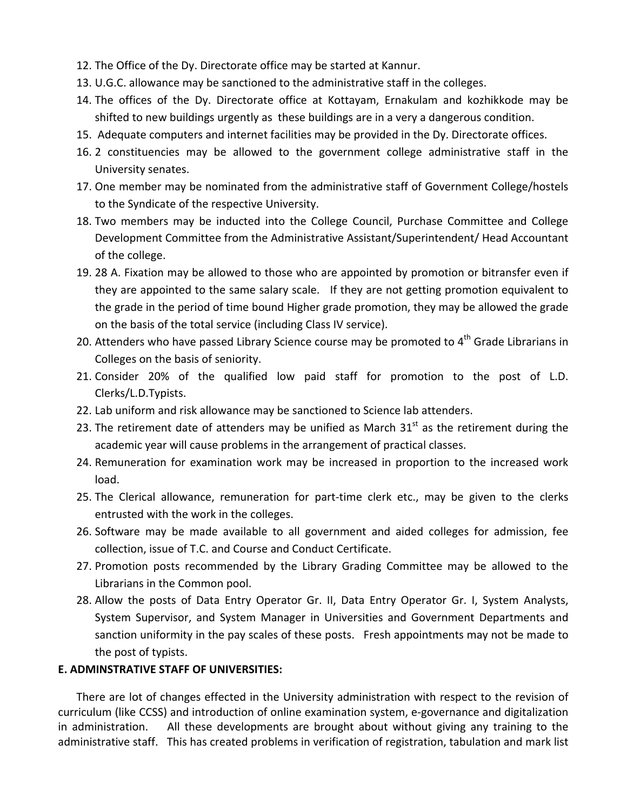- 12. The Office of the Dy. Directorate office may be started at Kannur.
- 13. U.G.C. allowance may be sanctioned to the administrative staff in the colleges.
- 14. The offices of the Dy. Directorate office at Kottayam, Ernakulam and kozhikkode may be shifted to new buildings urgently as these buildings are in a very a dangerous condition.
- 15. Adequate computers and internet facilities may be provided in the Dy. Directorate offices.
- 16. 2 constituencies may be allowed to the government college administrative staff in the University senates.
- 17. One member may be nominated from the administrative staff of Government College/hostels to the Syndicate of the respective University.
- 18. Two members may be inducted into the College Council, Purchase Committee and College Development Committee from the Administrative Assistant/Superintendent/ Head Accountant of the college.
- 19. 28 A. Fixation may be allowed to those who are appointed by promotion or bitransfer even if they are appointed to the same salary scale. If they are not getting promotion equivalent to the grade in the period of time bound Higher grade promotion, they may be allowed the grade on the basis of the total service (including Class IV service).
- 20. Attenders who have passed Library Science course may be promoted to  $4<sup>th</sup>$  Grade Librarians in Colleges on the basis of seniority.
- 21. Consider 20% of the qualified low paid staff for promotion to the post of L.D. Clerks/L.D.Typists.
- 22. Lab uniform and risk allowance may be sanctioned to Science lab attenders.
- 23. The retirement date of attenders may be unified as March  $31<sup>st</sup>$  as the retirement during the academic year will cause problems in the arrangement of practical classes.
- 24. Remuneration for examination work may be increased in proportion to the increased work load.
- 25. The Clerical allowance, remuneration for part‐time clerk etc., may be given to the clerks entrusted with the work in the colleges.
- 26. Software may be made available to all government and aided colleges for admission, fee collection, issue of T.C. and Course and Conduct Certificate.
- 27. Promotion posts recommended by the Library Grading Committee may be allowed to the Librarians in the Common pool.
- 28. Allow the posts of Data Entry Operator Gr. II, Data Entry Operator Gr. I, System Analysts, System Supervisor, and System Manager in Universities and Government Departments and sanction uniformity in the pay scales of these posts. Fresh appointments may not be made to the post of typists.

# **E. ADMINSTRATIVE STAFF OF UNIVERSITIES:**

There are lot of changes effected in the University administration with respect to the revision of curriculum (like CCSS) and introduction of online examination system, e‐governance and digitalization in administration. All these developments are brought about without giving any training to the administrative staff. This has created problems in verification of registration, tabulation and mark list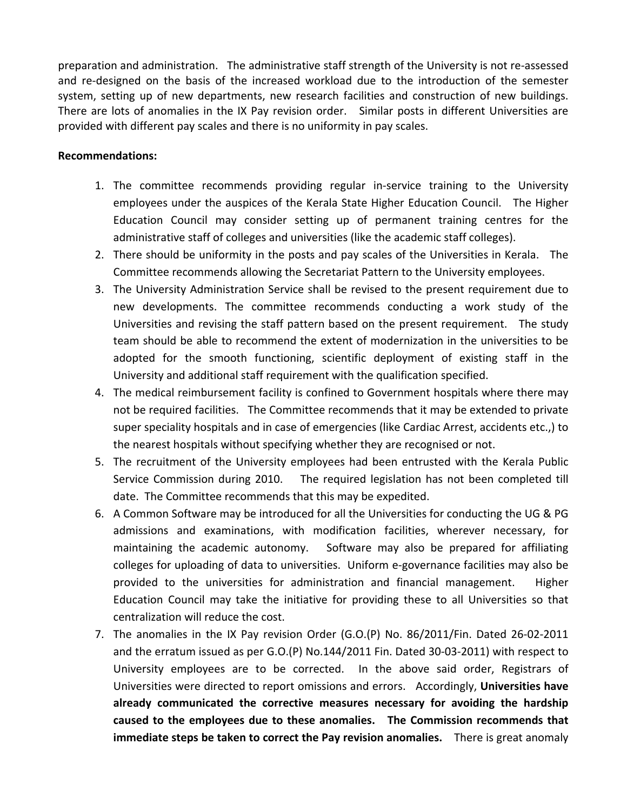preparation and administration. The administrative staff strength of the University is not re‐assessed and re-designed on the basis of the increased workload due to the introduction of the semester system, setting up of new departments, new research facilities and construction of new buildings. There are lots of anomalies in the IX Pay revision order. Similar posts in different Universities are provided with different pay scales and there is no uniformity in pay scales.

### **Recommendations:**

- 1. The committee recommends providing regular in‐service training to the University employees under the auspices of the Kerala State Higher Education Council. The Higher Education Council may consider setting up of permanent training centres for the administrative staff of colleges and universities (like the academic staff colleges).
- 2. There should be uniformity in the posts and pay scales of the Universities in Kerala. The Committee recommends allowing the Secretariat Pattern to the University employees.
- 3. The University Administration Service shall be revised to the present requirement due to new developments. The committee recommends conducting a work study of the Universities and revising the staff pattern based on the present requirement. The study team should be able to recommend the extent of modernization in the universities to be adopted for the smooth functioning, scientific deployment of existing staff in the University and additional staff requirement with the qualification specified.
- 4. The medical reimbursement facility is confined to Government hospitals where there may not be required facilities. The Committee recommends that it may be extended to private super speciality hospitals and in case of emergencies (like Cardiac Arrest, accidents etc.,) to the nearest hospitals without specifying whether they are recognised or not.
- 5. The recruitment of the University employees had been entrusted with the Kerala Public Service Commission during 2010. The required legislation has not been completed till date. The Committee recommends that this may be expedited.
- 6. A Common Software may be introduced for all the Universities for conducting the UG & PG admissions and examinations, with modification facilities, wherever necessary, for maintaining the academic autonomy. Software may also be prepared for affiliating colleges for uploading of data to universities. Uniform e‐governance facilities may also be provided to the universities for administration and financial management. Higher Education Council may take the initiative for providing these to all Universities so that centralization will reduce the cost.
- 7. The anomalies in the IX Pay revision Order (G.O.(P) No. 86/2011/Fin. Dated 26-02-2011 and the erratum issued as per G.O.(P) No.144/2011 Fin. Dated 30‐03‐2011) with respect to University employees are to be corrected. In the above said order, Registrars of Universities were directed to report omissions and errors. Accordingly, **Universities have already communicated the corrective measures necessary for avoiding the hardship caused to the employees due to these anomalies. The Commission recommends that immediate steps be taken to correct the Pay revision anomalies.** There is great anomaly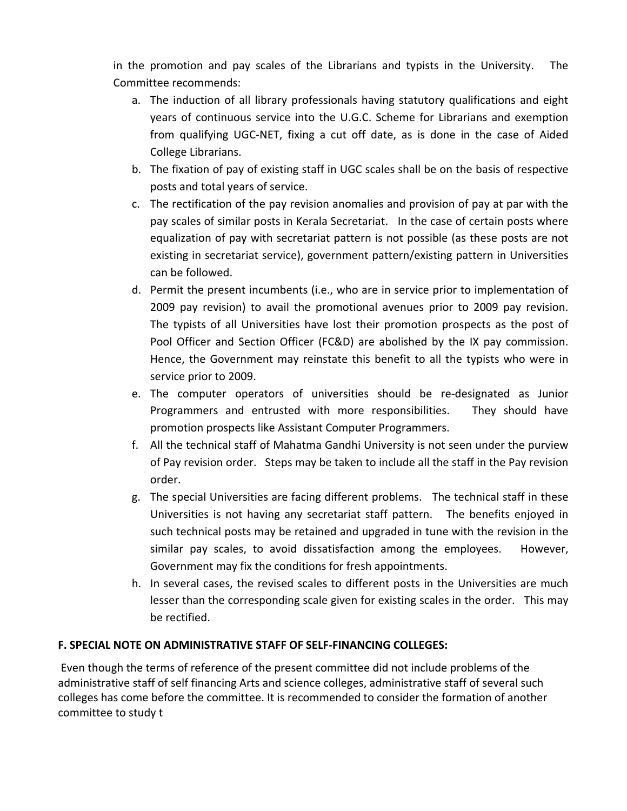in the promotion and pay scales of the Librarians and typists in the University. The Committee recommends:

- a. The induction of all library professionals having statutory qualifications and eight years of continuous service into the U.G.C. Scheme for Librarians and exemption from qualifying UGC‐NET, fixing a cut off date, as is done in the case of Aided College Librarians.
- b. The fixation of pay of existing staff in UGC scales shall be on the basis of respective posts and total years of service.
- c. The rectification of the pay revision anomalies and provision of pay at par with the pay scales of similar posts in Kerala Secretariat. In the case of certain posts where equalization of pay with secretariat pattern is not possible (as these posts are not existing in secretariat service), government pattern/existing pattern in Universities can be followed.
- d. Permit the present incumbents (i.e., who are in service prior to implementation of 2009 pay revision) to avail the promotional avenues prior to 2009 pay revision. The typists of all Universities have lost their promotion prospects as the post of Pool Officer and Section Officer (FC&D) are abolished by the IX pay commission. Hence, the Government may reinstate this benefit to all the typists who were in service prior to 2009.
- e. The computer operators of universities should be re‐designated as Junior Programmers and entrusted with more responsibilities. They should have promotion prospects like Assistant Computer Programmers.
- f. All the technical staff of Mahatma Gandhi University is not seen under the purview of Pay revision order. Steps may be taken to include all the staff in the Pay revision order.
- g. The special Universities are facing different problems. The technical staff in these Universities is not having any secretariat staff pattern. The benefits enjoyed in such technical posts may be retained and upgraded in tune with the revision in the similar pay scales, to avoid dissatisfaction among the employees. However, Government may fix the conditions for fresh appointments.
- h. In several cases, the revised scales to different posts in the Universities are much lesser than the corresponding scale given for existing scales in the order. This may be rectified.

# **F. SPECIAL NOTE ON ADMINISTRATIVE STAFF OF SELF‐FINANCING COLLEGES:**

Even though the terms of reference of the present committee did not include problems of the administrative staff of self financing Arts and science colleges, administrative staff of several such colleges has come before the committee. It is recommended to consider the formation of another committee to study t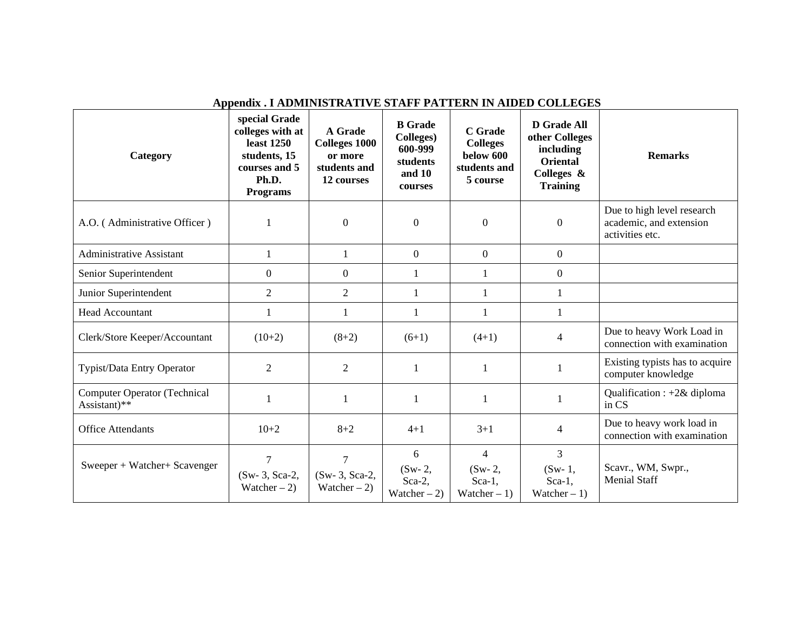| Category                                            | special Grade<br>colleges with at<br>least 1250<br>students, 15<br>courses and 5<br>Ph.D.<br><b>Programs</b> | A Grade<br><b>Colleges 1000</b><br>or more<br>students and<br>12 courses | <b>B</b> Grade<br>Colleges)<br>600-999<br>students<br>and 10<br><b>courses</b> | C Grade<br><b>Colleges</b><br>below 600<br>students and<br>5 course | <b>D</b> Grade All<br>other Colleges<br>including<br><b>Oriental</b><br>Colleges &<br><b>Training</b> | <b>Remarks</b>                                                           |
|-----------------------------------------------------|--------------------------------------------------------------------------------------------------------------|--------------------------------------------------------------------------|--------------------------------------------------------------------------------|---------------------------------------------------------------------|-------------------------------------------------------------------------------------------------------|--------------------------------------------------------------------------|
| A.O. (Administrative Officer)                       |                                                                                                              | $\boldsymbol{0}$                                                         | $\overline{0}$                                                                 | $\overline{0}$                                                      | $\Omega$                                                                                              | Due to high level research<br>academic, and extension<br>activities etc. |
| <b>Administrative Assistant</b>                     |                                                                                                              | 1                                                                        | $\mathbf{0}$                                                                   | $\mathbf{0}$                                                        | $\overline{0}$                                                                                        |                                                                          |
| Senior Superintendent                               | $\Omega$                                                                                                     | $\overline{0}$                                                           | 1                                                                              | 1                                                                   | $\overline{0}$                                                                                        |                                                                          |
| Junior Superintendent                               | $\overline{2}$                                                                                               | $\overline{2}$                                                           | 1                                                                              | 1                                                                   | 1                                                                                                     |                                                                          |
| <b>Head Accountant</b>                              | 1                                                                                                            | 1                                                                        | 1                                                                              | 1                                                                   | 1                                                                                                     |                                                                          |
| Clerk/Store Keeper/Accountant                       | $(10+2)$                                                                                                     | $(8+2)$                                                                  | $(6+1)$                                                                        | $(4+1)$                                                             | $\overline{4}$                                                                                        | Due to heavy Work Load in<br>connection with examination                 |
| Typist/Data Entry Operator                          | $\overline{2}$                                                                                               | 2                                                                        | 1                                                                              |                                                                     |                                                                                                       | Existing typists has to acquire<br>computer knowledge                    |
| <b>Computer Operator (Technical</b><br>Assistant)** |                                                                                                              | 1                                                                        | 1                                                                              | 1                                                                   | -1                                                                                                    | Qualification : +2& diploma<br>in CS                                     |
| <b>Office Attendants</b>                            | $10+2$                                                                                                       | $8 + 2$                                                                  | $4 + 1$                                                                        | $3 + 1$                                                             | $\overline{4}$                                                                                        | Due to heavy work load in<br>connection with examination                 |
| Sweeper + Watcher+ Scavenger                        | $\overline{7}$<br>(Sw-3, Sca-2,<br>Watcher $-2$ )                                                            | $\overline{7}$<br>(Sw-3, Sca-2,<br>Watcher $-2$ )                        | 6<br>$(Sw-2,$<br>Sca-2,<br>Watcher $-2$ )                                      | 4<br>$(Sw-2,$<br>$Sca-1$ ,<br>Watcher $-1$ )                        | 3<br>$(Sw-1,$<br>$Sca-1$ ,<br>Watcher $-1$ )                                                          | Scavr., WM, Swpr.,<br><b>Menial Staff</b>                                |

## **Appendix . I ADMINISTRATIVE STAFF PATTERN IN AIDED COLLEGES**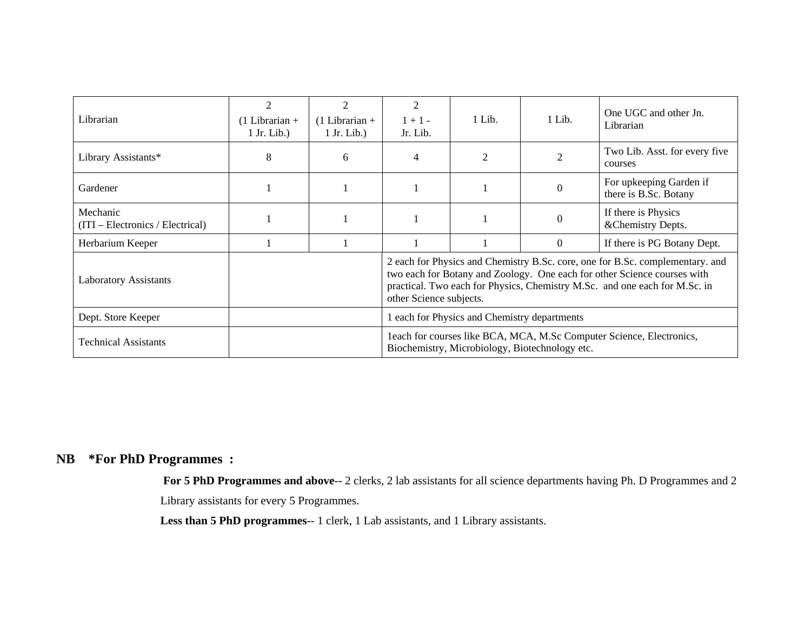| Librarian                                      | $\mathfrak{D}$<br>$(1$ Librarian +<br>$1$ Jr. Lib.) | 2<br>$(1$ Librarian +<br>$1$ Jr. Lib.) | 2<br>$1 + 1 -$<br>Jr. Lib.                                                                                                                                                                                                                                         | 1 Lib. | 1 Lib.   | One UGC and other Jn.<br>Librarian               |  |
|------------------------------------------------|-----------------------------------------------------|----------------------------------------|--------------------------------------------------------------------------------------------------------------------------------------------------------------------------------------------------------------------------------------------------------------------|--------|----------|--------------------------------------------------|--|
| Library Assistants*                            | 8                                                   | 6                                      | 4                                                                                                                                                                                                                                                                  | 2      | 2        | Two Lib. Asst. for every five<br>courses         |  |
| Gardener                                       |                                                     |                                        |                                                                                                                                                                                                                                                                    |        | $\Omega$ | For upkeeping Garden if<br>there is B.Sc. Botany |  |
| Mechanic<br>$(TTI - Electronics / Electrical)$ |                                                     |                                        |                                                                                                                                                                                                                                                                    |        | $\Omega$ | If there is Physics<br>&Chemistry Depts.         |  |
| Herbarium Keeper                               |                                                     |                                        |                                                                                                                                                                                                                                                                    |        | $\Omega$ | If there is PG Botany Dept.                      |  |
| <b>Laboratory Assistants</b>                   |                                                     |                                        | 2 each for Physics and Chemistry B.Sc. core, one for B.Sc. complementary. and<br>two each for Botany and Zoology. One each for other Science courses with<br>practical. Two each for Physics, Chemistry M.Sc. and one each for M.Sc. in<br>other Science subjects. |        |          |                                                  |  |
| Dept. Store Keeper                             |                                                     |                                        | 1 each for Physics and Chemistry departments                                                                                                                                                                                                                       |        |          |                                                  |  |
| <b>Technical Assistants</b>                    |                                                     |                                        | leach for courses like BCA, MCA, M.Sc Computer Science, Electronics,<br>Biochemistry, Microbiology, Biotechnology etc.                                                                                                                                             |        |          |                                                  |  |

# **NB \*For PhD Programmes :**

**For 5 PhD Programmes and above**-- 2 clerks, 2 lab assistants for all science departments having Ph. D Programmes and 2

Library assistants for every 5 Programmes.

**Less than 5 PhD programmes**-- 1 clerk, 1 Lab assistants, and 1 Library assistants.